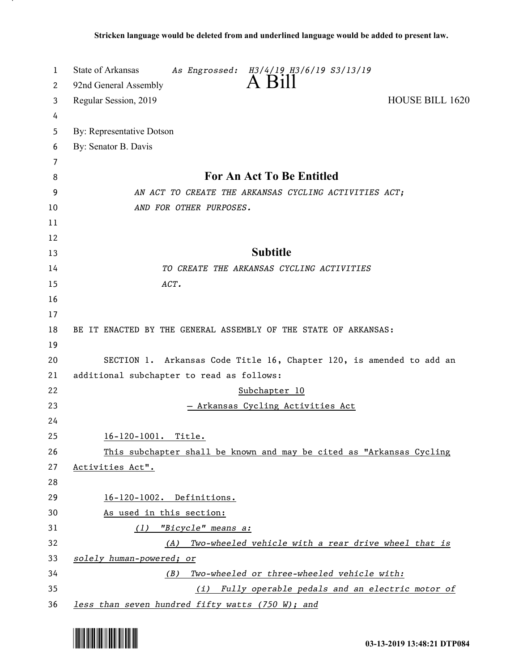| 1  | State of Arkansas<br>As Engrossed: H3/4/19 H3/6/19 S3/13/19          |
|----|----------------------------------------------------------------------|
| 2  | A Bill<br>92nd General Assembly                                      |
| 3  | <b>HOUSE BILL 1620</b><br>Regular Session, 2019                      |
| 4  |                                                                      |
| 5  | By: Representative Dotson                                            |
| 6  | By: Senator B. Davis                                                 |
| 7  |                                                                      |
| 8  | <b>For An Act To Be Entitled</b>                                     |
| 9  | AN ACT TO CREATE THE ARKANSAS CYCLING ACTIVITIES ACT;                |
| 10 | AND FOR OTHER PURPOSES.                                              |
| 11 |                                                                      |
| 12 |                                                                      |
| 13 | <b>Subtitle</b>                                                      |
| 14 | TO CREATE THE ARKANSAS CYCLING ACTIVITIES                            |
| 15 | ACT.                                                                 |
| 16 |                                                                      |
| 17 |                                                                      |
| 18 | BE IT ENACTED BY THE GENERAL ASSEMBLY OF THE STATE OF ARKANSAS:      |
| 19 |                                                                      |
| 20 | SECTION 1. Arkansas Code Title 16, Chapter 120, is amended to add an |
| 21 | additional subchapter to read as follows:                            |
| 22 | Subchapter 10                                                        |
| 23 | <u>– Arkansas Cycling Activities Act</u>                             |
| 24 |                                                                      |
| 25 | 16-120-1001. Title.                                                  |
| 26 | This subchapter shall be known and may be cited as "Arkansas Cycling |
| 27 | Activities Act".                                                     |
| 28 |                                                                      |
| 29 | 16-120-1002. Definitions.                                            |
| 30 | As used in this section:                                             |
| 31 | (1) "Bicycle" means a:                                               |
| 32 | (A) Two-wheeled vehicle with a rear drive wheel that is              |
| 33 | solely human-powered; or                                             |
| 34 | Two-wheeled or three-wheeled vehicle with:<br>(B)                    |
| 35 | (i) Fully operable pedals and an electric motor of                   |
| 36 | less than seven hundred fifty watts (750 W); and                     |

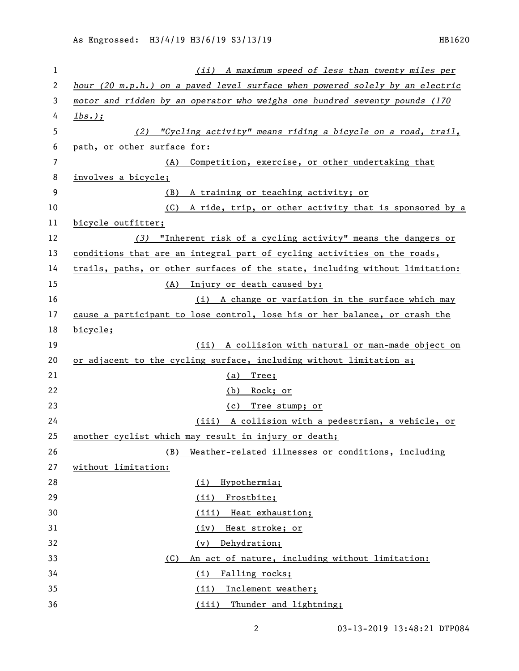| 1  | (ii) A maximum speed of less than twenty miles per                              |
|----|---------------------------------------------------------------------------------|
| 2  | hour (20 $m.p.h.$ ) on a paved level surface when powered solely by an electric |
| 3  | motor and ridden by an operator who weighs one hundred seventy pounds (170      |
| 4  | $\frac{1bs.}{i}$                                                                |
| 5  | (2) "Cycling activity" means riding a bicycle on a road, trail,                 |
| 6  | path, or other surface for:                                                     |
| 7  | Competition, exercise, or other undertaking that<br>(A)                         |
| 8  | involves a bicycle;                                                             |
| 9  | A training or teaching activity; or<br>(B)                                      |
| 10 | (C) A ride, trip, or other activity that is sponsored by a                      |
| 11 | bicycle outfitter;                                                              |
| 12 | (3) "Inherent risk of a cycling activity" means the dangers or                  |
| 13 | conditions that are an integral part of cycling activities on the roads,        |
| 14 | trails, paths, or other surfaces of the state, including without limitation:    |
| 15 | (A) Injury or death caused by:                                                  |
| 16 | (i) A change or variation in the surface which may                              |
| 17 | cause a participant to lose control, lose his or her balance, or crash the      |
| 18 | bicycle;                                                                        |
| 19 | (ii) A collision with natural or man-made object on                             |
| 20 | or adjacent to the cycling surface, including without limitation a;             |
| 21 | $(a)$ Tree;                                                                     |
| 22 | <u>Rock; or</u><br>(b)                                                          |
| 23 | Tree stump; or<br>(c)                                                           |
| 24 | (iii) A collision with a pedestrian, a vehicle, or                              |
| 25 | another cyclist which may result in injury or death;                            |
| 26 | Weather-related illnesses or conditions, including<br>(B)                       |
| 27 | without limitation:                                                             |
| 28 | Hypothermia;<br>(i)                                                             |
| 29 | (ii)<br>Frostbite;                                                              |
| 30 | (iii)<br>Heat exhaustion;                                                       |
| 31 | Heat stroke; or<br>(iv)                                                         |
| 32 | Dehydration;<br>(v)                                                             |
| 33 | An act of nature, including without limitation:<br>(C)                          |
| 34 | Falling rocks;<br>(i)                                                           |
| 35 | (i <sub>i</sub> )<br>Inclement weather;                                         |
| 36 | (iii)<br>Thunder and lightning;                                                 |

03-13-2019 13:48:21 DTP084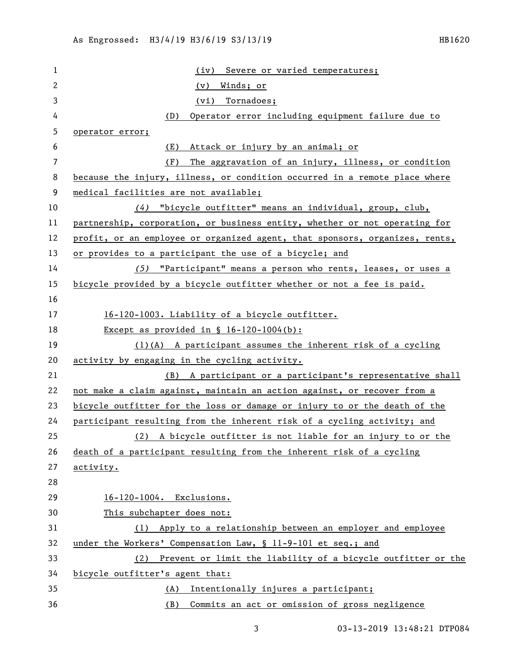| 1              | Severe or varied temperatures;<br>(iv)                                      |
|----------------|-----------------------------------------------------------------------------|
| 2              | Winds; or<br>(v)                                                            |
| 3              | (vi) Tornadoes;                                                             |
| 4              | Operator error including equipment failure due to<br>(D)                    |
| 5              | operator error;                                                             |
| 6              | Attack or injury by an animal; or<br>(E)                                    |
| $\overline{7}$ | The aggravation of an injury, illness, or condition<br>(F)                  |
| 8              | because the injury, illness, or condition occurred in a remote place where  |
| 9              | medical facilities are not available;                                       |
| 10             | (4) "bicycle outfitter" means an individual, group, club,                   |
| 11             | partnership, corporation, or business entity, whether or not operating for  |
| 12             | profit, or an employee or organized agent, that sponsors, organizes, rents, |
| 13             | or provides to a participant the use of a bicycle; and                      |
| 14             | (5) "Participant" means a person who rents, leases, or uses a               |
| 15             | bicycle provided by a bicycle outfitter whether or not a fee is paid.       |
| 16             |                                                                             |
| 17             | 16-120-1003. Liability of a bicycle outfitter.                              |
| 18             | Except as provided in $\S$ 16-120-1004(b):                                  |
| 19             | $(1)(A)$ A participant assumes the inherent risk of a cycling               |
| 20             | activity by engaging in the cycling activity.                               |
| 21             | (B) A participant or a participant's representative shall                   |
| 22             | not make a claim against, maintain an action against, or recover from a     |
| 23             | bicycle outfitter for the loss or damage or injury to or the death of the   |
| 24             | participant resulting from the inherent risk of a cycling activity; and     |
| 25             | (2) A bicycle outfitter is not liable for an injury to or the               |
| 26             | death of a participant resulting from the inherent risk of a cycling        |
| 27             | activity.                                                                   |
| 28             |                                                                             |
| 29             | 16-120-1004. Exclusions.                                                    |
| 30             | This subchapter does not:                                                   |
| 31             | (1) Apply to a relationship between an employer and employee                |
| 32             | under the Workers' Compensation Law, § 11-9-101 et seq.; and                |
| 33             | (2) Prevent or limit the liability of a bicycle outfitter or the            |
| 34             | bicycle outfitter's agent that:                                             |
| 35             | (A) Intentionally injures a participant;                                    |
| 36             | Commits an act or omission of gross negligence<br>(B)                       |

3 03-13-2019 13:48:21 DTP084